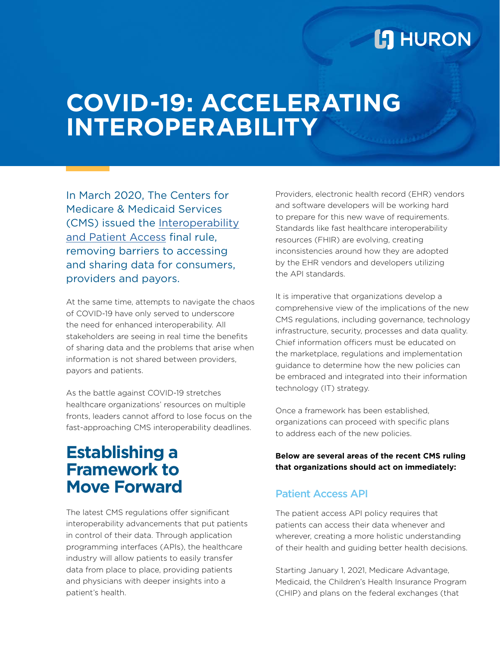## **L'I** HURON

# **COVID-19: ACCELERATING INTEROPERABILITY**

In March 2020, The Centers for Medicare & Medicaid Services (CMS) issued the [Interoperability](http://www.cms.gov/Regulations-and-Guidance/Guidance/Interoperability/index) [and Patient Access](http://www.cms.gov/Regulations-and-Guidance/Guidance/Interoperability/index) final rule, removing barriers to accessing and sharing data for consumers, providers and payors.

At the same time, attempts to navigate the chaos of COVID-19 have only served to underscore the need for enhanced interoperability. All stakeholders are seeing in real time the benefits of sharing data and the problems that arise when information is not shared between providers, payors and patients.

As the battle against COVID-19 stretches healthcare organizations' resources on multiple fronts, leaders cannot afford to lose focus on the fast-approaching CMS interoperability deadlines.

## **Establishing a Framework to Move Forward**

The latest CMS regulations offer significant interoperability advancements that put patients in control of their data. Through application programming interfaces (APIs), the healthcare industry will allow patients to easily transfer data from place to place, providing patients and physicians with deeper insights into a patient's health.

Providers, electronic health record (EHR) vendors and software developers will be working hard to prepare for this new wave of requirements. Standards like fast healthcare interoperability resources (FHIR) are evolving, creating inconsistencies around how they are adopted by the EHR vendors and developers utilizing the API standards.

It is imperative that organizations develop a comprehensive view of the implications of the new CMS regulations, including governance, technology infrastructure, security, processes and data quality. Chief information officers must be educated on the marketplace, regulations and implementation guidance to determine how the new policies can be embraced and integrated into their information technology (IT) strategy.

Once a framework has been established, organizations can proceed with specific plans to address each of the new policies.

**Below are several areas of the recent CMS ruling that organizations should act on immediately:**

### Patient Access API

The patient access API policy requires that patients can access their data whenever and wherever, creating a more holistic understanding of their health and guiding better health decisions.

Starting January 1, 2021, Medicare Advantage, Medicaid, the Children's Health Insurance Program (CHIP) and plans on the federal exchanges (that